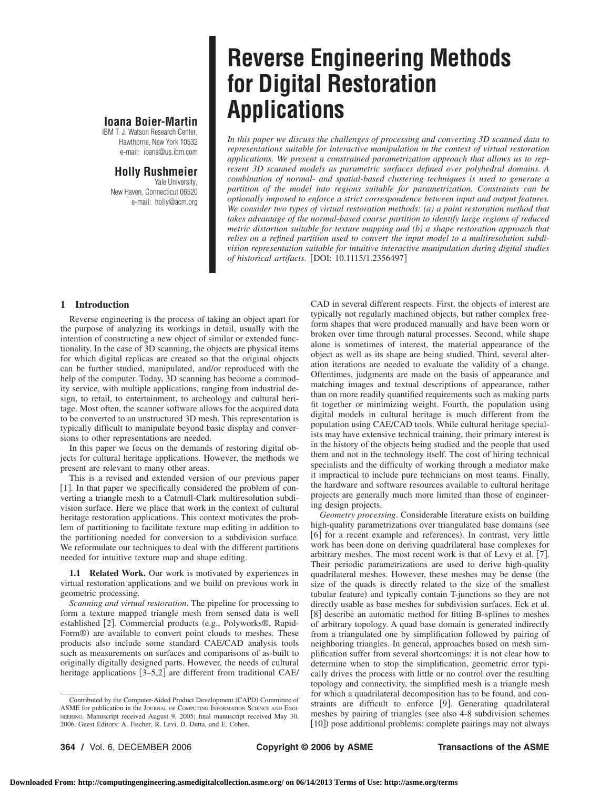# **Ioana Boier-Martin**

IBM T. J. Watson Research Center, Hawthorne, New York 10532 e-mail: ioana@us.ibm.com

# **Holly Rushmeier**

Yale University, New Haven, Connecticut 06520 e-mail: holly@acm.org

# **Reverse Engineering Methods for Digital Restoration Applications**

*In this paper we discuss the challenges of processing and converting 3D scanned data to representations suitable for interactive manipulation in the context of virtual restoration applications. We present a constrained parametrization approach that allows us to represent 3D scanned models as parametric surfaces defined over polyhedral domains. A combination of normal- and spatial-based clustering techniques is used to generate a partition of the model into regions suitable for parametrization. Constraints can be optionally imposed to enforce a strict correspondence between input and output features. We consider two types of virtual restoration methods: (a) a paint restoration method that takes advantage of the normal-based coarse partition to identify large regions of reduced metric distortion suitable for texture mapping and (b) a shape restoration approach that relies on a refined partition used to convert the input model to a multiresolution subdivision representation suitable for intuitive interactive manipulation during digital studies* of historical artifacts. [DOI: 10.1115/1.2356497]

# **1 Introduction**

Reverse engineering is the process of taking an object apart for the purpose of analyzing its workings in detail, usually with the intention of constructing a new object of similar or extended functionality. In the case of 3D scanning, the objects are physical items for which digital replicas are created so that the original objects can be further studied, manipulated, and/or reproduced with the help of the computer. Today, 3D scanning has become a commodity service, with multiple applications, ranging from industrial design, to retail, to entertainment, to archeology and cultural heritage. Most often, the scanner software allows for the acquired data to be converted to an unstructured 3D mesh. This representation is typically difficult to manipulate beyond basic display and conversions to other representations are needed.

In this paper we focus on the demands of restoring digital objects for cultural heritage applications. However, the methods we present are relevant to many other areas.

This is a revised and extended version of our previous paper [1]. In that paper we specifically considered the problem of converting a triangle mesh to a Catmull-Clark multiresolution subdivision surface. Here we place that work in the context of cultural heritage restoration applications. This context motivates the problem of partitioning to facilitate texture map editing in addition to the partitioning needed for conversion to a subdivision surface. We reformulate our techniques to deal with the different partitions needed for intuitive texture map and shape editing.

**1.1 Related Work.** Our work is motivated by experiences in virtual restoration applications and we build on previous work in geometric processing.

*Scanning and virtual restoration*. The pipeline for processing to form a texture mapped triangle mesh from sensed data is well established [2]. Commercial products (e.g., Polyworks®, Rapid-Form®) are available to convert point clouds to meshes. These products also include some standard CAE/CAD analysis tools such as measurements on surfaces and comparisons of as-built to originally digitally designed parts. However, the needs of cultural heritage applications [3-5,2] are different from traditional CAE/

CAD in several different respects. First, the objects of interest are typically not regularly machined objects, but rather complex freeform shapes that were produced manually and have been worn or broken over time through natural processes. Second, while shape alone is sometimes of interest, the material appearance of the object as well as its shape are being studied. Third, several alteration iterations are needed to evaluate the validity of a change. Oftentimes, judgments are made on the basis of appearance and matching images and textual descriptions of appearance, rather than on more readily quantified requirements such as making parts fit together or minimizing weight. Fourth, the population using digital models in cultural heritage is much different from the population using CAE/CAD tools. While cultural heritage specialists may have extensive technical training, their primary interest is in the history of the objects being studied and the people that used them and not in the technology itself. The cost of hiring technical specialists and the difficulty of working through a mediator make it impractical to include pure technicians on most teams. Finally, the hardware and software resources available to cultural heritage projects are generally much more limited than those of engineering design projects.

*Geometry processing*. Considerable literature exists on building high-quality parametrizations over triangulated base domains (see [6] for a recent example and references). In contrast, very little work has been done on deriving quadrilateral base complexes for arbitrary meshes. The most recent work is that of Levy et al. [7]. Their periodic parametrizations are used to derive high-quality quadrilateral meshes. However, these meshes may be dense (the size of the quads is directly related to the size of the smallest tubular feature) and typically contain T-junctions so they are not directly usable as base meshes for subdivision surfaces. Eck et al. [8] describe an automatic method for fitting B-splines to meshes of arbitrary topology. A quad base domain is generated indirectly from a triangulated one by simplification followed by pairing of neighboring triangles. In general, approaches based on mesh simplification suffer from several shortcomings: it is not clear how to determine when to stop the simplification, geometric error typically drives the process with little or no control over the resulting topology and connectivity, the simplified mesh is a triangle mesh for which a quadrilateral decomposition has to be found, and constraints are difficult to enforce [9]. Generating quadrilateral meshes by pairing of triangles (see also 4-8 subdivision schemes [10]) pose additional problems: complete pairings may not always

Contributed by the Computer-Aided Product Development (CAPD) Committee of ASME for publication in the JOURNAL OF COMPUTING INFORMATION SCIENCE AND ENGI-NEERING. Manuscript received August 9, 2005; final manuscript received May 30, 2006. Guest Editors: A. Fischer, R. Levi, D. Dutta, and E. Cohen.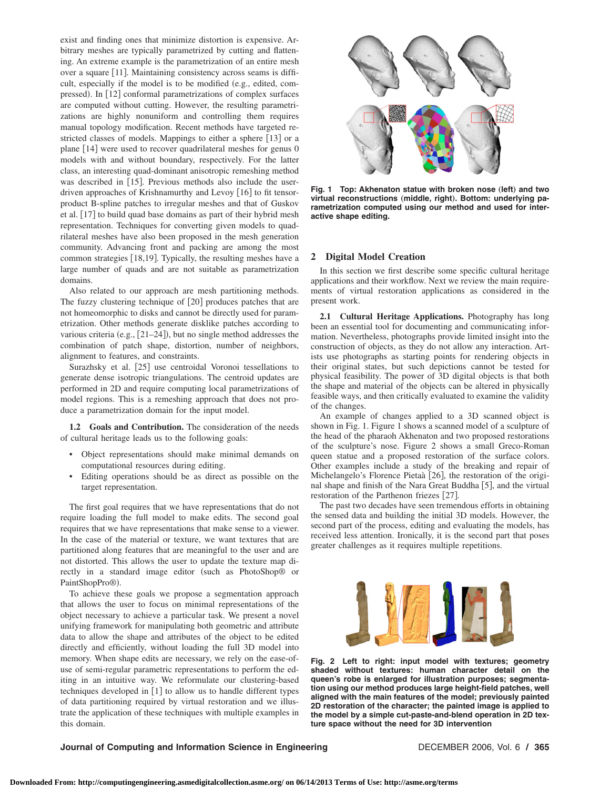exist and finding ones that minimize distortion is expensive. Arbitrary meshes are typically parametrized by cutting and flattening. An extreme example is the parametrization of an entire mesh over a square [11]. Maintaining consistency across seams is difficult, especially if the model is to be modified (e.g., edited, compressed). In [12] conformal parametrizations of complex surfaces are computed without cutting. However, the resulting parametrizations are highly nonuniform and controlling them requires manual topology modification. Recent methods have targeted restricted classes of models. Mappings to either a sphere [13] or a plane [14] were used to recover quadrilateral meshes for genus 0 models with and without boundary, respectively. For the latter class, an interesting quad-dominant anisotropic remeshing method was described in [15]. Previous methods also include the userdriven approaches of Krishnamurthy and Levoy [16] to fit tensorproduct B-spline patches to irregular meshes and that of Guskov et al. [17] to build quad base domains as part of their hybrid mesh representation. Techniques for converting given models to quadrilateral meshes have also been proposed in the mesh generation community. Advancing front and packing are among the most common strategies [18,19]. Typically, the resulting meshes have a large number of quads and are not suitable as parametrization domains.

Also related to our approach are mesh partitioning methods. The fuzzy clustering technique of [20] produces patches that are not homeomorphic to disks and cannot be directly used for parametrization. Other methods generate disklike patches according to various criteria (e.g., [21-24]), but no single method addresses the combination of patch shape, distortion, number of neighbors, alignment to features, and constraints.

Surazhsky et al. [25] use centroidal Voronoi tessellations to generate dense isotropic triangulations. The centroid updates are performed in 2D and require computing local parametrizations of model regions. This is a remeshing approach that does not produce a parametrization domain for the input model.

**1.2 Goals and Contribution.** The consideration of the needs of cultural heritage leads us to the following goals:

- Object representations should make minimal demands on computational resources during editing.
- Editing operations should be as direct as possible on the target representation.

The first goal requires that we have representations that do not require loading the full model to make edits. The second goal requires that we have representations that make sense to a viewer. In the case of the material or texture, we want textures that are partitioned along features that are meaningful to the user and are not distorted. This allows the user to update the texture map directly in a standard image editor (such as PhotoShop® or PaintShopPro<sup>®</sup>).

To achieve these goals we propose a segmentation approach that allows the user to focus on minimal representations of the object necessary to achieve a particular task. We present a novel unifying framework for manipulating both geometric and attribute data to allow the shape and attributes of the object to be edited directly and efficiently, without loading the full 3D model into memory. When shape edits are necessary, we rely on the ease-ofuse of semi-regular parametric representations to perform the editing in an intuitive way. We reformulate our clustering-based techniques developed in [1] to allow us to handle different types of data partitioning required by virtual restoration and we illustrate the application of these techniques with multiple examples in this domain.



**Fig. 1 Top: Akhenaton statue with broken nose (left) and two** virtual reconstructions (middle, right). Bottom: underlying pa**rametrization computed using our method and used for interactive shape editing.**

### **2 Digital Model Creation**

In this section we first describe some specific cultural heritage applications and their workflow. Next we review the main requirements of virtual restoration applications as considered in the present work.

**2.1 Cultural Heritage Applications.** Photography has long been an essential tool for documenting and communicating information. Nevertheless, photographs provide limited insight into the construction of objects, as they do not allow any interaction. Artists use photographs as starting points for rendering objects in their original states, but such depictions cannot be tested for physical feasibility. The power of 3D digital objects is that both the shape and material of the objects can be altered in physically feasible ways, and then critically evaluated to examine the validity of the changes.

An example of changes applied to a 3D scanned object is shown in Fig. 1. Figure 1 shows a scanned model of a sculpture of the head of the pharaoh Akhenaton and two proposed restorations of the sculpture's nose. Figure 2 shows a small Greco-Roman queen statue and a proposed restoration of the surface colors. Other examples include a study of the breaking and repair of Michelangelo's Florence Pietaà [26], the restoration of the original shape and finish of the Nara Great Buddha [5], and the virtual restoration of the Parthenon friezes [27].

The past two decades have seen tremendous efforts in obtaining the sensed data and building the initial 3D models. However, the second part of the process, editing and evaluating the models, has received less attention. Ironically, it is the second part that poses greater challenges as it requires multiple repetitions.



**Fig. 2 Left to right: input model with textures; geometry shaded without textures: human character detail on the queen's robe is enlarged for illustration purposes; segmentation using our method produces large height-field patches, well aligned with the main features of the model; previously painted 2D restoration of the character; the painted image is applied to the model by a simple cut-paste-and-blend operation in 2D texture space without the need for 3D intervention**

## **Journal of Computing and Information Science in Engineering The COMBER 2006, Vol. 6 / 365**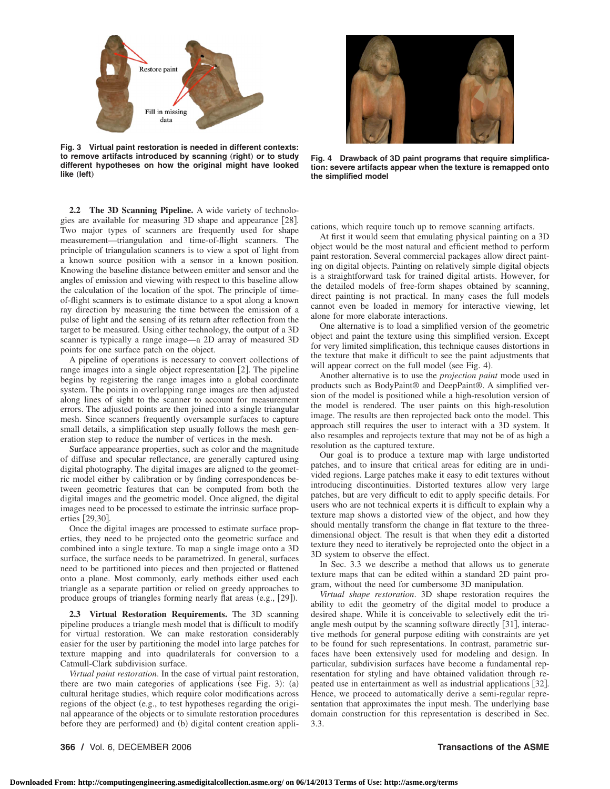

**Fig. 3 Virtual paint restoration is needed in different contexts:** to remove artifacts introduced by scanning (right) or to study **different hypotheses on how the original might have looked like** (left)



**Fig. 4 Drawback of 3D paint programs that require simplification: severe artifacts appear when the texture is remapped onto the simplified model**

**2.2 The 3D Scanning Pipeline.** A wide variety of technologies are available for measuring 3D shape and appearance [28]. Two major types of scanners are frequently used for shape measurement—triangulation and time-of-flight scanners. The principle of triangulation scanners is to view a spot of light from a known source position with a sensor in a known position. Knowing the baseline distance between emitter and sensor and the angles of emission and viewing with respect to this baseline allow the calculation of the location of the spot. The principle of timeof-flight scanners is to estimate distance to a spot along a known ray direction by measuring the time between the emission of a pulse of light and the sensing of its return after reflection from the target to be measured. Using either technology, the output of a 3D scanner is typically a range image—a 2D array of measured 3D points for one surface patch on the object.

A pipeline of operations is necessary to convert collections of range images into a single object representation [2]. The pipeline begins by registering the range images into a global coordinate system. The points in overlapping range images are then adjusted along lines of sight to the scanner to account for measurement errors. The adjusted points are then joined into a single triangular mesh. Since scanners frequently oversample surfaces to capture small details, a simplification step usually follows the mesh generation step to reduce the number of vertices in the mesh.

Surface appearance properties, such as color and the magnitude of diffuse and specular reflectance, are generally captured using digital photography. The digital images are aligned to the geometric model either by calibration or by finding correspondences between geometric features that can be computed from both the digital images and the geometric model. Once aligned, the digital images need to be processed to estimate the intrinsic surface properties [29,30].

Once the digital images are processed to estimate surface properties, they need to be projected onto the geometric surface and combined into a single texture. To map a single image onto a 3D surface, the surface needs to be parametrized. In general, surfaces need to be partitioned into pieces and then projected or flattened onto a plane. Most commonly, early methods either used each triangle as a separate partition or relied on greedy approaches to produce groups of triangles forming nearly flat areas (e.g., [29]).

**2.3 Virtual Restoration Requirements.** The 3D scanning pipeline produces a triangle mesh model that is difficult to modify for virtual restoration. We can make restoration considerably easier for the user by partitioning the model into large patches for texture mapping and into quadrilaterals for conversion to a Catmull-Clark subdivision surface.

*Virtual paint restoration*. In the case of virtual paint restoration, there are two main categories of applications (see Fig. 3): (a) cultural heritage studies, which require color modifications across regions of the object (e.g., to test hypotheses regarding the original appearance of the objects or to simulate restoration procedures before they are performed) and (b) digital content creation applications, which require touch up to remove scanning artifacts.

At first it would seem that emulating physical painting on a 3D object would be the most natural and efficient method to perform paint restoration. Several commercial packages allow direct painting on digital objects. Painting on relatively simple digital objects is a straightforward task for trained digital artists. However, for the detailed models of free-form shapes obtained by scanning, direct painting is not practical. In many cases the full models cannot even be loaded in memory for interactive viewing, let alone for more elaborate interactions.

One alternative is to load a simplified version of the geometric object and paint the texture using this simplified version. Except for very limited simplification, this technique causes distortions in the texture that make it difficult to see the paint adjustments that will appear correct on the full model (see Fig. 4).

Another alternative is to use the *projection paint* mode used in products such as BodyPaint® and DeepPaint®. A simplified version of the model is positioned while a high-resolution version of the model is rendered. The user paints on this high-resolution image. The results are then reprojected back onto the model. This approach still requires the user to interact with a 3D system. It also resamples and reprojects texture that may not be of as high a resolution as the captured texture.

Our goal is to produce a texture map with large undistorted patches, and to insure that critical areas for editing are in undivided regions. Large patches make it easy to edit textures without introducing discontinuities. Distorted textures allow very large patches, but are very difficult to edit to apply specific details. For users who are not technical experts it is difficult to explain why a texture map shows a distorted view of the object, and how they should mentally transform the change in flat texture to the threedimensional object. The result is that when they edit a distorted texture they need to iteratively be reprojected onto the object in a 3D system to observe the effect.

In Sec. 3.3 we describe a method that allows us to generate texture maps that can be edited within a standard 2D paint program, without the need for cumbersome 3D manipulation.

*Virtual shape restoration*. 3D shape restoration requires the ability to edit the geometry of the digital model to produce a desired shape. While it is conceivable to selectively edit the triangle mesh output by the scanning software directly [31], interactive methods for general purpose editing with constraints are yet to be found for such representations. In contrast, parametric surfaces have been extensively used for modeling and design. In particular, subdivision surfaces have become a fundamental representation for styling and have obtained validation through repeated use in entertainment as well as industrial applications [32]. Hence, we proceed to automatically derive a semi-regular representation that approximates the input mesh. The underlying base domain construction for this representation is described in Sec. 3.3.

**366 /** Vol. 6, DECEMBER 2006 **Transactions of the ASME**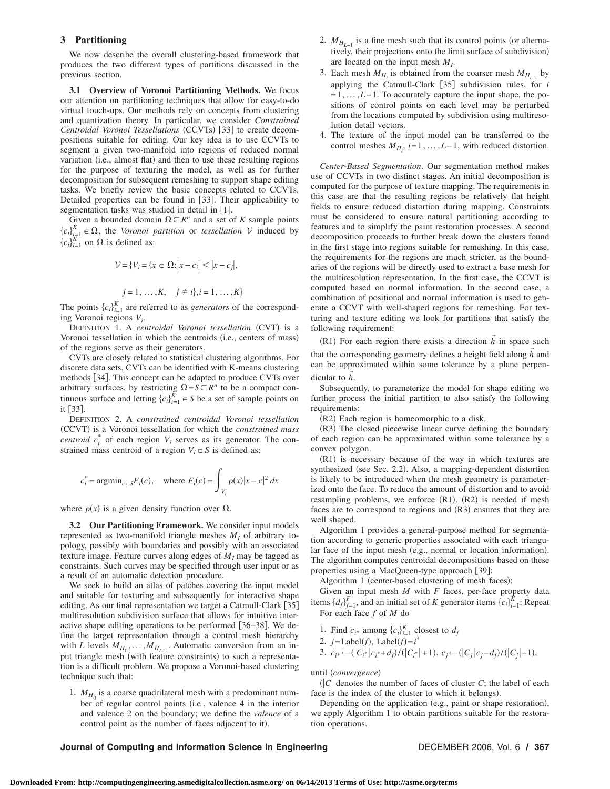#### **3 Partitioning**

We now describe the overall clustering-based framework that produces the two different types of partitions discussed in the previous section.

**3.1 Overview of Voronoi Partitioning Methods.** We focus our attention on partitioning techniques that allow for easy-to-do virtual touch-ups. Our methods rely on concepts from clustering and quantization theory. In particular, we consider *Constrained* Centroidal Voronoi Tessellations (CCVTs) [33] to create decompositions suitable for editing. Our key idea is to use CCVTs to segment a given two-manifold into regions of reduced normal variation (i.e., almost flat) and then to use these resulting regions for the purpose of texturing the model, as well as for further decomposition for subsequent remeshing to support shape editing tasks. We briefly review the basic concepts related to CCVTs. Detailed properties can be found in [33]. Their applicability to segmentation tasks was studied in detail in [1].

Given a bounded domain  $\Omega \subset \mathbb{R}^n$  and a set of *K* sample points  ${c_i}_{i=1}^K \in \Omega$ , the *Voronoi partition* or *tessellation*  $V$  induced by  ${c_i}_{i=1}^K$  on  $\Omega$  is defined as:

$$
\mathcal{V} = \{ V_i = \{ x \in \Omega : |x - c_i| < |x - c_j|, \\
j = 1, \dots, K, \quad j \neq i \}, i = 1, \dots, K \}
$$

The points  ${c_i}_{i=1}^K$  are referred to as *generators* of the corresponding Voronoi regions *Vi*.

DEFINITION 1. A *centroidal Voronoi tessellation* (CVT) is a Voronoi tessellation in which the centroids (i.e., centers of mass) of the regions serve as their generators.

CVTs are closely related to statistical clustering algorithms. For discrete data sets, CVTs can be identified with K-means clustering methods [34]. This concept can be adapted to produce CVTs over arbitrary surfaces, by restricting  $\Omega = S \subset \mathbb{R}^n$  to be a compact continuous surface and letting  ${c_i}_{i=1}^K \in S$  be a set of sample points on it [33].

DEFINITION 2. A *constrained centroidal Voronoi tessellation* (CCVT) is a Voronoi tessellation for which the *constrained mass centroid*  $c_i^*$  of each region  $V_i$  serves as its generator. The constrained mass centroid of a region  $V_i \in S$  is defined as:

$$
c_i^*
$$
 = argmin<sub>c \in S</sub>F<sub>i</sub>(c), where  $F_i(c) = \int_{V_i} \rho(x)|x - c|^2 dx$ 

where  $\rho(x)$  is a given density function over  $\Omega$ .

**3.2 Our Partitioning Framework.** We consider input models represented as two-manifold triangle meshes  $M_I$  of arbitrary topology, possibly with boundaries and possibly with an associated texture image. Feature curves along edges of  $M_I$  may be tagged as constraints. Such curves may be specified through user input or as a result of an automatic detection procedure.

We seek to build an atlas of patches covering the input model and suitable for texturing and subsequently for interactive shape editing. As our final representation we target a Catmull-Clark [35] multiresolution subdivision surface that allows for intuitive interactive shape editing operations to be performed [36-38]. We define the target representation through a control mesh hierarchy with *L* levels  $M_{H_0}, \ldots, M_{H_{L-1}}$ . Automatic conversion from an input triangle mesh (with feature constraints) to such a representation is a difficult problem. We propose a Voronoi-based clustering technique such that:

1.  $M_{H_0}$  is a coarse quadrilateral mesh with a predominant number of regular control points (i.e., valence 4 in the interior and valence 2 on the boundary; we define the *valence* of a control point as the number of faces adjacent to it).

- 2.  $M_{H_{L-1}}$  is a fine mesh such that its control points (or alternatively, their projections onto the limit surface of subdivision are located on the input mesh *MI*.
- 3. Each mesh  $M_{H_i}$  is obtained from the coarser mesh  $M_{H_{i-1}}$  by applying the Catmull-Clark [35] subdivision rules, for *i* =1,...,*L*− 1. To accurately capture the input shape, the positions of control points on each level may be perturbed from the locations computed by subdivision using multiresolution detail vectors.
- The texture of the input model can be transferred to the control meshes  $M_{H_i}$ ,  $i=1,\ldots,L-1$ , with reduced distortion.

*Center-Based Segmentation*. Our segmentation method makes use of CCVTs in two distinct stages. An initial decomposition is computed for the purpose of texture mapping. The requirements in this case are that the resulting regions be relatively flat height fields to ensure reduced distortion during mapping. Constraints must be considered to ensure natural partitioning according to features and to simplify the paint restoration processes. A second decomposition proceeds to further break down the clusters found in the first stage into regions suitable for remeshing. In this case, the requirements for the regions are much stricter, as the boundaries of the regions will be directly used to extract a base mesh for the multiresolution representation. In the first case, the CCVT is computed based on normal information. In the second case, a combination of positional and normal information is used to generate a CCVT with well-shaped regions for remeshing. For texturing and texture editing we look for partitions that satisfy the following requirement:

 $(R1)$  For each region there exists a direction  $h$  in space such that the corresponding geometry defines a height field along *h* and can be approximated within some tolerance by a plane perpendicular to *h* .

-

Subsequently, to parameterize the model for shape editing we further process the initial partition to also satisfy the following requirements:

 $(R2)$  Each region is homeomorphic to a disk.

R3 The closed piecewise linear curve defining the boundary of each region can be approximated within some tolerance by a convex polygon.

 $(R1)$  is necessary because of the way in which textures are synthesized (see Sec. 2.2). Also, a mapping-dependent distortion is likely to be introduced when the mesh geometry is parameterized onto the face. To reduce the amount of distortion and to avoid resampling problems, we enforce  $(R1)$ .  $(R2)$  is needed if mesh faces are to correspond to regions and  $(R3)$  ensures that they are well shaped.

Algorithm 1 provides a general-purpose method for segmentation according to generic properties associated with each triangular face of the input mesh (e.g., normal or location information). The algorithm computes centroidal decompositions based on these properties using a MacQueen-type approach [39]:

Algorithm 1 (center-based clustering of mesh faces):

Given an input mesh *M* with *F* faces, per-face property data items  $\{d_j\}_{j=1}^F$ , and an initial set of *K* generator items  $\{c_i\}_{i=1}^K$ : Repeat For each face *f* of *M* do

- 1. Find  $c_{i^*}$  among  $\{c_i\}_{i=1}^K$  closest to  $d_f$
- 2.  $j = \text{Label}(f)$ ,  $\text{Label}(f) = i^*$
- 3.  $c_i^* \leftarrow (|C_i^*|c_i^*+d_f)/(|C_i^*|+1), c_i \leftarrow (|C_i|c_i-d_f)/(|C_i|-1),$

until *convergence*

 $\left(\left|C\right|$  denotes the number of faces of cluster *C*; the label of each face is the index of the cluster to which it belongs).

Depending on the application (e.g., paint or shape restoration), we apply Algorithm 1 to obtain partitions suitable for the restoration operations.

#### **Journal of Computing and Information Science in Engineering The COMBER 2006, Vol. 6 / 367**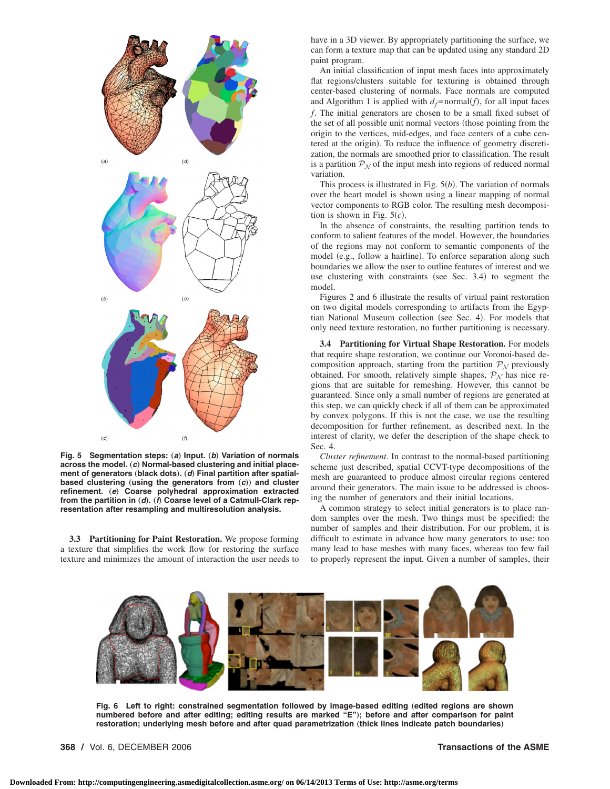

Fig. 5 Segmentation steps: (a) Input. (b) Variation of normals across the model. (c) Normal-based clustering and initial placement of generators (black dots). (d) Final partition after spatialbased clustering (using the generators from  $(c)$ ) and cluster refinement. (e) Coarse polyhedral approximation extracted from the partition in (*d*). (*f*) Coarse level of a Catmull-Clark rep**resentation after resampling and multiresolution analysis.**

**3.3 Partitioning for Paint Restoration.** We propose forming a texture that simplifies the work flow for restoring the surface texture and minimizes the amount of interaction the user needs to have in a 3D viewer. By appropriately partitioning the surface, we can form a texture map that can be updated using any standard 2D paint program.

An initial classification of input mesh faces into approximately flat regions/clusters suitable for texturing is obtained through center-based clustering of normals. Face normals are computed and Algorithm 1 is applied with  $d_f$ =normal $(f)$ , for all input faces *f*. The initial generators are chosen to be a small fixed subset of the set of all possible unit normal vectors (those pointing from the origin to the vertices, mid-edges, and face centers of a cube centered at the origin). To reduce the influence of geometry discretization, the normals are smoothed prior to classification. The result is a partition  $P<sub>N</sub>$  of the input mesh into regions of reduced normal variation.

This process is illustrated in Fig. 5*b*. The variation of normals over the heart model is shown using a linear mapping of normal vector components to RGB color. The resulting mesh decomposition is shown in Fig.  $5(c)$ .

In the absence of constraints, the resulting partition tends to conform to salient features of the model. However, the boundaries of the regions may not conform to semantic components of the model (e.g., follow a hairline). To enforce separation along such boundaries we allow the user to outline features of interest and we use clustering with constraints (see Sec. 3.4) to segment the model.

Figures 2 and 6 illustrate the results of virtual paint restoration on two digital models corresponding to artifacts from the Egyptian National Museum collection (see Sec. 4). For models that only need texture restoration, no further partitioning is necessary.

**3.4 Partitioning for Virtual Shape Restoration.** For models that require shape restoration, we continue our Voronoi-based decomposition approach, starting from the partition  $P<sub>N</sub>$  previously obtained. For smooth, relatively simple shapes,  $\mathcal{P}_N$  has nice regions that are suitable for remeshing. However, this cannot be guaranteed. Since only a small number of regions are generated at this step, we can quickly check if all of them can be approximated by convex polygons. If this is not the case, we use the resulting decomposition for further refinement, as described next. In the interest of clarity, we defer the description of the shape check to Sec. 4.

*Cluster refinement*. In contrast to the normal-based partitioning scheme just described, spatial CCVT-type decompositions of the mesh are guaranteed to produce almost circular regions centered around their generators. The main issue to be addressed is choosing the number of generators and their initial locations.

A common strategy to select initial generators is to place random samples over the mesh. Two things must be specified: the number of samples and their distribution. For our problem, it is difficult to estimate in advance how many generators to use: too many lead to base meshes with many faces, whereas too few fail to properly represent the input. Given a number of samples, their



**Fig. 6 Left to right: constrained segmentation followed by image-based editing** "**edited regions are shown numbered before and after editing; editing results are marked "E"**…**; before and after comparison for paint restoration; underlying mesh before and after quad parametrization** "**thick lines indicate patch boundaries**…

**368 /** Vol. 6, DECEMBER 2006 **Transactions of the ASME**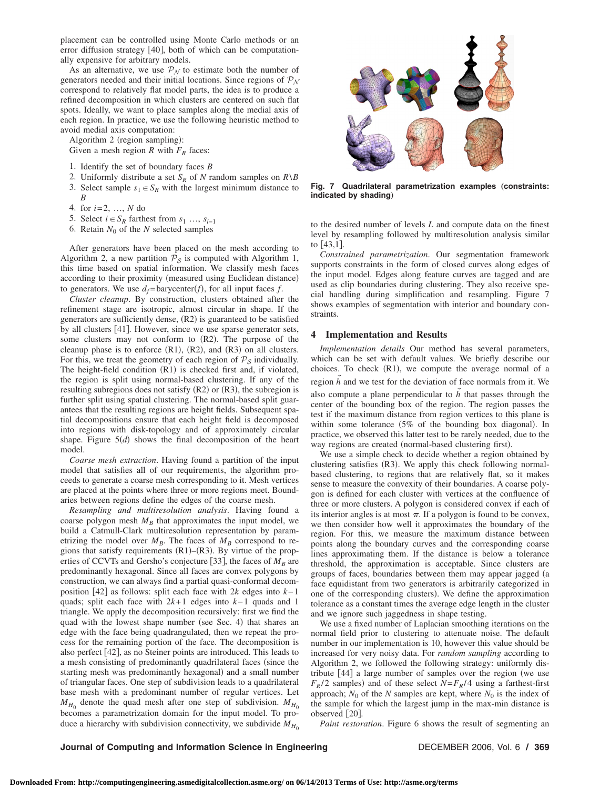placement can be controlled using Monte Carlo methods or an error diffusion strategy [40], both of which can be computationally expensive for arbitrary models.

As an alternative, we use  $P<sub>N</sub>$  to estimate both the number of generators needed and their initial locations. Since regions of  $P<sub>N</sub>$ correspond to relatively flat model parts, the idea is to produce a refined decomposition in which clusters are centered on such flat spots. Ideally, we want to place samples along the medial axis of each region. In practice, we use the following heuristic method to avoid medial axis computation:

Algorithm 2 (region sampling): Given a mesh region  $R$  with  $F_R$  faces:

- 1. Identify the set of boundary faces *B*
- 2. Uniformly distribute a set  $S_R$  of  $N$  random samples on  $R\setminus B$
- 3. Select sample  $s_1 \in S_R$  with the largest minimum distance to
- *B*
- 4. for *i*=2, …, *N* do
- 5. Select  $i \in S_R$  farthest from  $s_1$  …,  $s_{i-1}$
- 6. Retain  $N_0$  of the  $N$  selected samples

After generators have been placed on the mesh according to Algorithm 2, a new partition  $P_S$  is computed with Algorithm 1, this time based on spatial information. We classify mesh faces according to their proximity (measured using Euclidean distance) to generators. We use  $d_f$ =barycenter $(f)$ , for all input faces  $f$ .

*Cluster cleanup*. By construction, clusters obtained after the refinement stage are isotropic, almost circular in shape. If the generators are sufficiently dense,  $(R2)$  is guaranteed to be satisfied by all clusters [41]. However, since we use sparse generator sets, some clusters may not conform to  $(R2)$ . The purpose of the cleanup phase is to enforce  $(R1)$ ,  $(R2)$ , and  $(R3)$  on all clusters. For this, we treat the geometry of each region of  $P<sub>S</sub>$  individually. The height-field condition  $(R1)$  is checked first and, if violated, the region is split using normal-based clustering. If any of the resulting subregions does not satisfy  $(R2)$  or  $(R3)$ , the subregion is further split using spatial clustering. The normal-based split guarantees that the resulting regions are height fields. Subsequent spatial decompositions ensure that each height field is decomposed into regions with disk-topology and of approximately circular shape. Figure  $5(d)$  shows the final decomposition of the heart model.

*Coarse mesh extraction*. Having found a partition of the input model that satisfies all of our requirements, the algorithm proceeds to generate a coarse mesh corresponding to it. Mesh vertices are placed at the points where three or more regions meet. Boundaries between regions define the edges of the coarse mesh.

*Resampling and multiresolution analysis*. Having found a coarse polygon mesh  $M_B$  that approximates the input model, we build a Catmull-Clark multiresolution representation by parametrizing the model over  $M_B$ . The faces of  $M_B$  correspond to regions that satisfy requirements  $(R1)$ – $(R3)$ . By virtue of the properties of CCVTs and Gersho's conjecture [33], the faces of  $M_B$  are predominantly hexagonal. Since all faces are convex polygons by construction, we can always find a partial quasi-conformal decomposition [42] as follows: split each face with  $2k$  edges into  $k-1$ quads; split each face with 2*k*+ 1 edges into *k*− 1 quads and 1 triangle. We apply the decomposition recursively: first we find the quad with the lowest shape number (see Sec. 4) that shares an edge with the face being quadrangulated, then we repeat the process for the remaining portion of the face. The decomposition is also perfect [42], as no Steiner points are introduced. This leads to a mesh consisting of predominantly quadrilateral faces (since the starting mesh was predominantly hexagonal) and a small number of triangular faces. One step of subdivision leads to a quadrilateral base mesh with a predominant number of regular vertices. Let  $M_{H_0}$  denote the quad mesh after one step of subdivision.  $M_{H_0}$ becomes a parametrization domain for the input model. To produce a hierarchy with subdivision connectivity, we subdivide  $M_{H_0}$ 



Fig. 7 Quadrilateral parametrization examples (constraints: **indicated by shading**…

to the desired number of levels *L* and compute data on the finest level by resampling followed by multiresolution analysis similar to  $[43, 1]$ .

*Constrained parametrization*. Our segmentation framework supports constraints in the form of closed curves along edges of the input model. Edges along feature curves are tagged and are used as clip boundaries during clustering. They also receive special handling during simplification and resampling. Figure 7 shows examples of segmentation with interior and boundary constraints.

## **4 Implementation and Results**

*Implementation details* Our method has several parameters, which can be set with default values. We briefly describe our choices. To check  $(R1)$ , we compute the average normal of a region *h* and we test for the deviation of face normals from it. We also compute a plane perpendicular to  $\vec{h}$  that passes through the center of the bounding box of the region. The region passes the test if the maximum distance from region vertices to this plane is within some tolerance  $(5\% \text{ of the bounding box diagonal})$ . In practice, we observed this latter test to be rarely needed, due to the way regions are created (normal-based clustering first).

We use a simple check to decide whether a region obtained by clustering satisfies  $(R3)$ . We apply this check following normalbased clustering, to regions that are relatively flat, so it makes sense to measure the convexity of their boundaries. A coarse polygon is defined for each cluster with vertices at the confluence of three or more clusters. A polygon is considered convex if each of its interior angles is at most  $\pi$ . If a polygon is found to be convex, we then consider how well it approximates the boundary of the region. For this, we measure the maximum distance between points along the boundary curves and the corresponding coarse lines approximating them. If the distance is below a tolerance threshold, the approximation is acceptable. Since clusters are groups of faces, boundaries between them may appear jagged (a face equidistant from two generators is arbitrarily categorized in one of the corresponding clusters). We define the approximation tolerance as a constant times the average edge length in the cluster and we ignore such jaggedness in shape testing.

We use a fixed number of Laplacian smoothing iterations on the normal field prior to clustering to attenuate noise. The default number in our implementation is 10, however this value should be increased for very noisy data. For *random sampling* according to Algorithm 2, we followed the following strategy: uniformly distribute [44] a large number of samples over the region (we use  $F_R/2$  samples) and of these select  $N = F_R/4$  using a farthest-first approach;  $N_0$  of the *N* samples are kept, where  $N_0$  is the index of the sample for which the largest jump in the max-min distance is observed [20].

*Paint restoration*. Figure 6 shows the result of segmenting an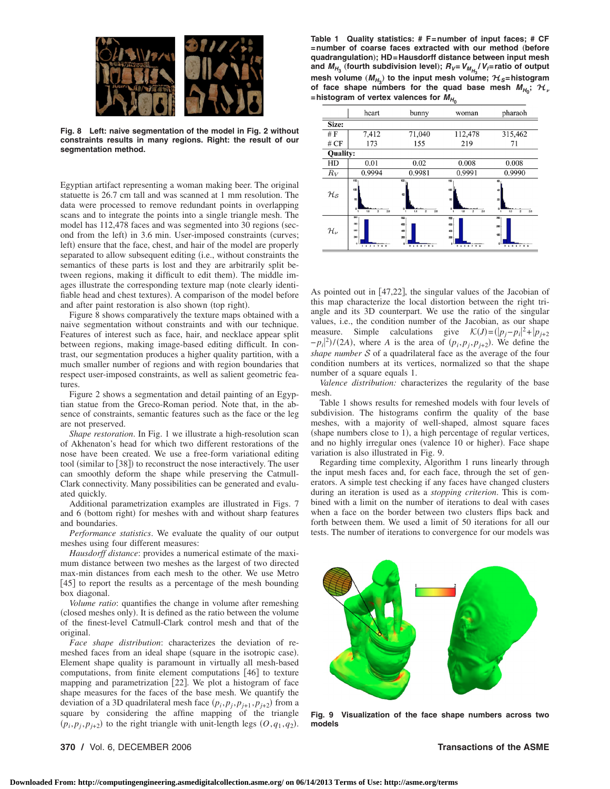

**Fig. 8 Left: naive segmentation of the model in Fig. 2 without constraints results in many regions. Right: the result of our segmentation method.**

Egyptian artifact representing a woman making beer. The original statuette is 26.7 cm tall and was scanned at 1 mm resolution. The data were processed to remove redundant points in overlapping scans and to integrate the points into a single triangle mesh. The model has 112,478 faces and was segmented into 30 regions (second from the left) in 3.6 min. User-imposed constraints (curves; left) ensure that the face, chest, and hair of the model are properly separated to allow subsequent editing (i.e., without constraints the semantics of these parts is lost and they are arbitrarily split between regions, making it difficult to edit them). The middle images illustrate the corresponding texture map (note clearly identifiable head and chest textures). A comparison of the model before and after paint restoration is also shown (top right).

Figure 8 shows comparatively the texture maps obtained with a naive segmentation without constraints and with our technique. Features of interest such as face, hair, and necklace appear split between regions, making image-based editing difficult. In contrast, our segmentation produces a higher quality partition, with a much smaller number of regions and with region boundaries that respect user-imposed constraints, as well as salient geometric features.

Figure 2 shows a segmentation and detail painting of an Egyptian statue from the Greco-Roman period. Note that, in the absence of constraints, semantic features such as the face or the leg are not preserved.

*Shape restoration*. In Fig. 1 we illustrate a high-resolution scan of Akhenaton's head for which two different restorations of the nose have been created. We use a free-form variational editing tool (similar to [38]) to reconstruct the nose interactively. The user can smoothly deform the shape while preserving the Catmull-Clark connectivity. Many possibilities can be generated and evaluated quickly.

Additional parametrization examples are illustrated in Figs. 7 and 6 (bottom right) for meshes with and without sharp features and boundaries.

*Performance statistics*. We evaluate the quality of our output meshes using four different measures:

*Hausdorff distance*: provides a numerical estimate of the maximum distance between two meshes as the largest of two directed max-min distances from each mesh to the other. We use Metro [45] to report the results as a percentage of the mesh bounding box diagonal.

*Volume ratio*: quantifies the change in volume after remeshing closed meshes only. It is defined as the ratio between the volume of the finest-level Catmull-Clark control mesh and that of the original.

*Face shape distribution*: characterizes the deviation of remeshed faces from an ideal shape (square in the isotropic case). Element shape quality is paramount in virtually all mesh-based computations, from finite element computations [46] to texture mapping and parametrization [22]. We plot a histogram of face shape measures for the faces of the base mesh. We quantify the deviation of a 3D quadrilateral mesh face  $(p_i, p_j, p_{j+1}, p_{j+2})$  from a square by considering the affine mapping of the triangle  $(p_i, p_j, p_{i+2})$  to the right triangle with unit-length legs  $(O, q_1, q_2)$ . **Table 1 Quality statistics: # F=number of input faces; # CF** =number of coarse faces extracted with our method (before **quadrangulation**…**; HD=Hausdorff distance between input mesh** and  $M_{H_3}$  (fourth subdivision level);  $R_V = V_{M_{H_3}} / V_I$ =ratio of output  $m$ esh volume  $(M_{H_3})$  to the input mesh volume;  $\mathcal{H}_S$ =histogram of face shape numbers for the quad base mesh  $M_{H_0}$ ;  $\mathcal{H}_{\nu}$  $=$  histogram of vertex valences for  $M_{H_0}$ 



As pointed out in [47,22], the singular values of the Jacobian of this map characterize the local distortion between the right triangle and its 3D counterpart. We use the ratio of the singular values, i.e., the condition number of the Jacobian, as our shape measure. Simple calculations give  $\mathcal{K}(J) = (|p_j - p_i|^2 + |p_{j+2}|^2)$  $-p_i^2/(2A)$ , where *A* is the area of  $(p_i, p_j, p_{j+2})$ . We define the *shape number* S of a quadrilateral face as the average of the four condition numbers at its vertices, normalized so that the shape number of a square equals 1.

*Valence distribution:* characterizes the regularity of the base mesh.

Table 1 shows results for remeshed models with four levels of subdivision. The histograms confirm the quality of the base meshes, with a majority of well-shaped, almost square faces (shape numbers close to 1), a high percentage of regular vertices, and no highly irregular ones (valence 10 or higher). Face shape variation is also illustrated in Fig. 9.

Regarding time complexity, Algorithm 1 runs linearly through the input mesh faces and, for each face, through the set of generators. A simple test checking if any faces have changed clusters during an iteration is used as a *stopping criterion*. This is combined with a limit on the number of iterations to deal with cases when a face on the border between two clusters flips back and forth between them. We used a limit of 50 iterations for all our tests. The number of iterations to convergence for our models was



**Fig. 9 Visualization of the face shape numbers across two models**

**370 /** Vol. 6, DECEMBER 2006 **Transactions of the ASME**